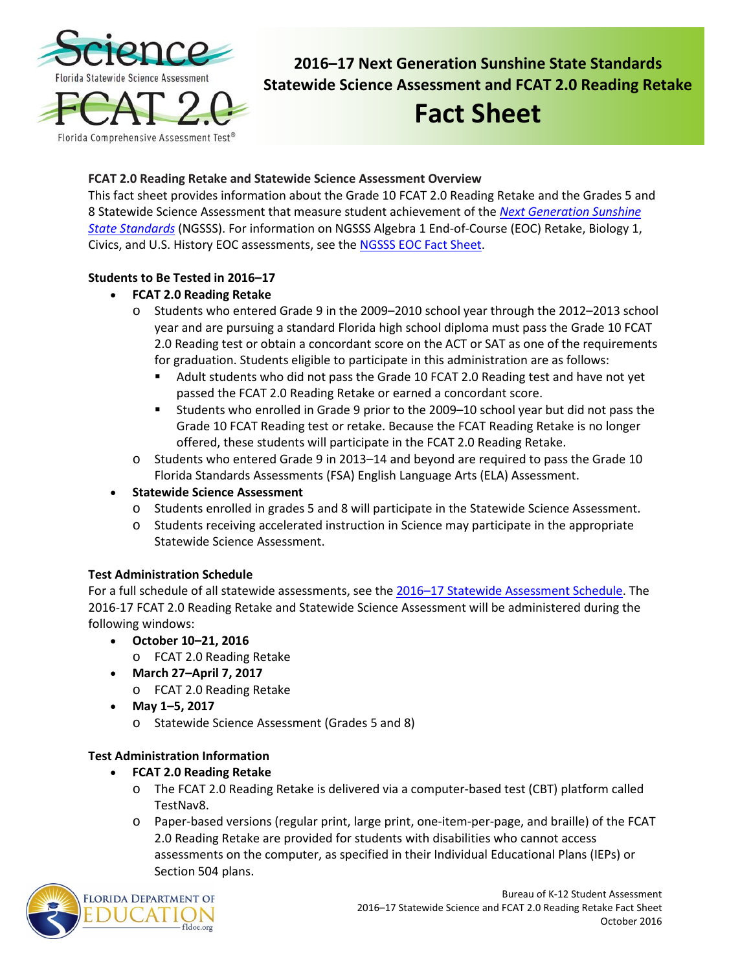

**2016–17 Next Generation Sunshine State Standards Statewide Science Assessment and FCAT 2.0 Reading Retake**

# **Fact Sheet**

# **FCAT 2.0 Reading Retake and Statewide Science Assessment Overview**

This fact sheet provides information about the Grade 10 FCAT 2.0 Reading Retake and the Grades 5 and 8 Statewide Science Assessment that measure student achievement of the *[Next Generation Sunshine](http://www.cpalms.org/Public/)  [State Standards](http://www.cpalms.org/Public/)* (NGSSS). For information on NGSSS Algebra 1 End-of-Course (EOC) Retake, Biology 1, Civics, and U.S. History EOC assessments, see the [NGSSS EOC Fact Sheet.](http://www.fldoe.org/core/fileparse.php/5662/urlt/1516NGSSSEOCAFS.pdf)

### **Students to Be Tested in 2016–17**

# • **FCAT 2.0 Reading Retake**

- o Students who entered Grade 9 in the 2009–2010 school year through the 2012–2013 school year and are pursuing a standard Florida high school diploma must pass the Grade 10 FCAT 2.0 Reading test or obtain a concordant score on the ACT or SAT as one of the requirements for graduation. Students eligible to participate in this administration are as follows:
	- Adult students who did not pass the Grade 10 FCAT 2.0 Reading test and have not yet passed the FCAT 2.0 Reading Retake or earned a concordant score.
	- Students who enrolled in Grade 9 prior to the 2009–10 school year but did not pass the Grade 10 FCAT Reading test or retake. Because the FCAT Reading Retake is no longer offered, these students will participate in the FCAT 2.0 Reading Retake.
- o Students who entered Grade 9 in 2013–14 and beyond are required to pass the Grade 10 Florida Standards Assessments (FSA) English Language Arts (ELA) Assessment.
- **Statewide Science Assessment**
	- o Students enrolled in grades 5 and 8 will participate in the Statewide Science Assessment.
	- o Students receiving accelerated instruction in Science may participate in the appropriate Statewide Science Assessment.

# **Test Administration Schedule**

For a full schedule of all statewide assessments, see the [2016–17 Statewide Assessment Schedule.](http://info.fldoe.org/docushare/dsweb/Get/Document-7514/dps-2015-175a.pdf) The 2016-17 FCAT 2.0 Reading Retake and Statewide Science Assessment will be administered during the following windows:

- **October 10–21, 2016**
	- o FCAT 2.0 Reading Retake
- **March 27–April 7, 2017** o FCAT 2.0 Reading Retake
- **May 1–5, 2017**
	- o Statewide Science Assessment (Grades 5 and 8)

# **Test Administration Information**

- **FCAT 2.0 Reading Retake**
	- o The FCAT 2.0 Reading Retake is delivered via a computer-based test (CBT) platform called TestNav8.
	- o Paper-based versions (regular print, large print, one-item-per-page, and braille) of the FCAT 2.0 Reading Retake are provided for students with disabilities who cannot access assessments on the computer, as specified in their Individual Educational Plans (IEPs) or Section 504 plans.

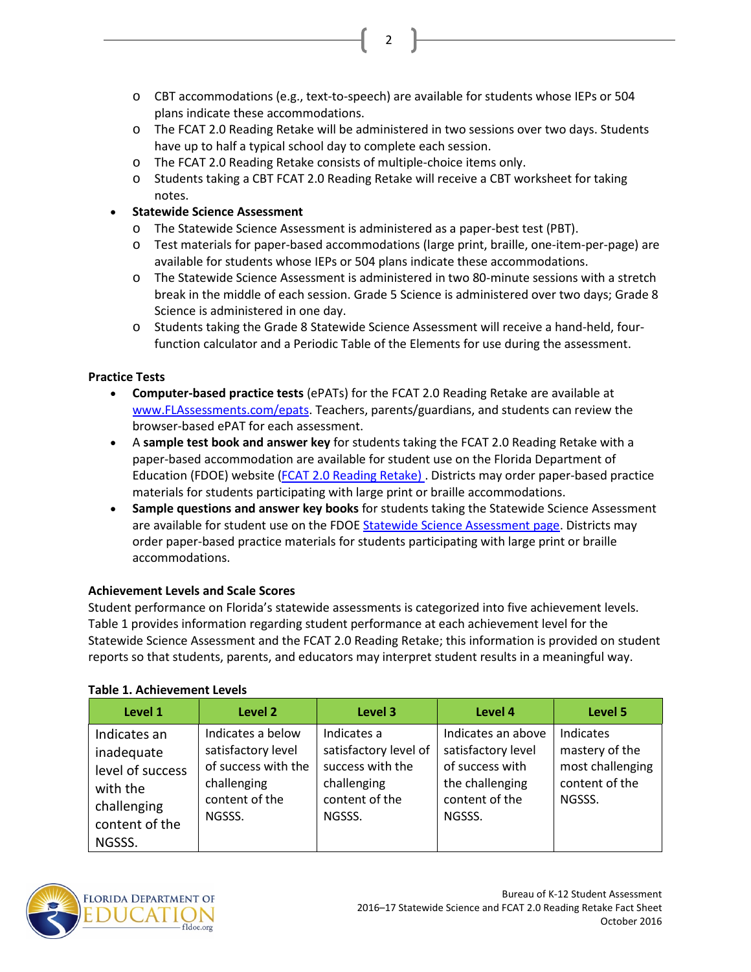o CBT accommodations (e.g., text-to-speech) are available for students whose IEPs or 504 plans indicate these accommodations.

2

- o The FCAT 2.0 Reading Retake will be administered in two sessions over two days. Students have up to half a typical school day to complete each session.
- o The FCAT 2.0 Reading Retake consists of multiple-choice items only.
- o Students taking a CBT FCAT 2.0 Reading Retake will receive a CBT worksheet for taking notes.

# • **Statewide Science Assessment**

- o The Statewide Science Assessment is administered as a paper-best test (PBT).
- o Test materials for paper-based accommodations (large print, braille, one-item-per-page) are available for students whose IEPs or 504 plans indicate these accommodations.
- o The Statewide Science Assessment is administered in two 80-minute sessions with a stretch break in the middle of each session. Grade 5 Science is administered over two days; Grade 8 Science is administered in one day.
- o Students taking the Grade 8 Statewide Science Assessment will receive a hand-held, fourfunction calculator and a Periodic Table of the Elements for use during the assessment.

### **Practice Tests**

- **Computer-based practice tests** (ePATs) for the FCAT 2.0 Reading Retake are available at [www.FLAssessments.com/epats.](http://www.flassessments.com/epats) Teachers, parents/guardians, and students can review the browser-based ePAT for each assessment.
- A **sample test book and answer key** for students taking the FCAT 2.0 Reading Retake with a paper-based accommodation are available for student use on the Florida Department of Education (FDOE) website [\(FCAT 2.0 Reading Retake\) .](http://www.fldoe.org/accountability/assessments/k-12-student-assessment/fcat2.stml) Districts may order paper-based practice materials for students participating with large print or braille accommodations.
- **Sample questions and answer key books** for students taking the Statewide Science Assessment are available for student use on the FDOE [Statewide Science Assessment page.](http://www.fldoe.org/accountability/assessments/k-12-student-assessment/science.stml) Districts may order paper-based practice materials for students participating with large print or braille accommodations.

### **Achievement Levels and Scale Scores**

Student performance on Florida's statewide assessments is categorized into five achievement levels. Table 1 provides information regarding student performance at each achievement level for the Statewide Science Assessment and the FCAT 2.0 Reading Retake; this information is provided on student reports so that students, parents, and educators may interpret student results in a meaningful way.

| Level 1                                                                                               | Level 2                                                                                                   | Level 3                                                                                             | Level 4                                                                                                    | Level 5                                                                     |
|-------------------------------------------------------------------------------------------------------|-----------------------------------------------------------------------------------------------------------|-----------------------------------------------------------------------------------------------------|------------------------------------------------------------------------------------------------------------|-----------------------------------------------------------------------------|
| Indicates an<br>inadequate<br>level of success<br>with the<br>challenging<br>content of the<br>NGSSS. | Indicates a below<br>satisfactory level<br>of success with the<br>challenging<br>content of the<br>NGSSS. | Indicates a<br>satisfactory level of<br>success with the<br>challenging<br>content of the<br>NGSSS. | Indicates an above<br>satisfactory level<br>of success with<br>the challenging<br>content of the<br>NGSSS. | Indicates<br>mastery of the<br>most challenging<br>content of the<br>NGSSS. |

### **Table 1. Achievement Levels**